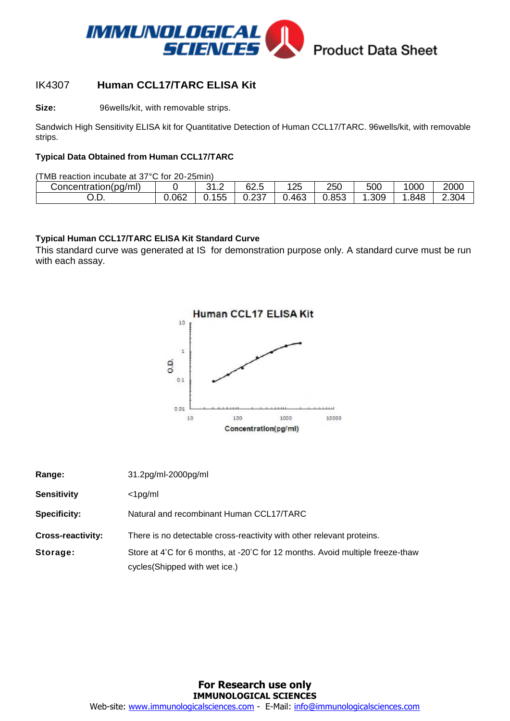

### IK4307 **Human CCL17/TARC ELISA Kit**

**Size:** 96wells/kit, with removable strips.

Sandwich High Sensitivity ELISA kit for Quantitative Detection of Human CCL17/TARC. 96wells/kit, with removable strips.

#### **Typical Data Obtained from Human CCL17/TARC**

(TMB reaction incubate at 37°C for 20-25min)

| Concentration(pg/ml) |       | $\sqrt{2}$<br>ົ<br>ے . د | 62<br>-<br>∽<br>∪∠.∪ | 125 | 250   | 500  | 000  | 2000  |
|----------------------|-------|--------------------------|----------------------|-----|-------|------|------|-------|
| ◡.◡.                 | 0.062 | 155                      | ດລອ<br>، ب. ک        | 463 | 0.853 | .309 | .848 | 2.304 |

#### **Typical Human CCL17/TARC ELISA Kit Standard Curve**

This standard curve was generated at IS for demonstration purpose only. A standard curve must be run with each assay.



| Range:                   | 31.2pg/ml-2000pg/ml                                                           |
|--------------------------|-------------------------------------------------------------------------------|
| <b>Sensitivity</b>       | $<$ 1pg/ml                                                                    |
| <b>Specificity:</b>      | Natural and recombinant Human CCL17/TARC                                      |
| <b>Cross-reactivity:</b> | There is no detectable cross-reactivity with other relevant proteins.         |
| Storage:                 | Store at 4°C for 6 months, at -20°C for 12 months. Avoid multiple freeze-thaw |
|                          | cycles(Shipped with wet ice.)                                                 |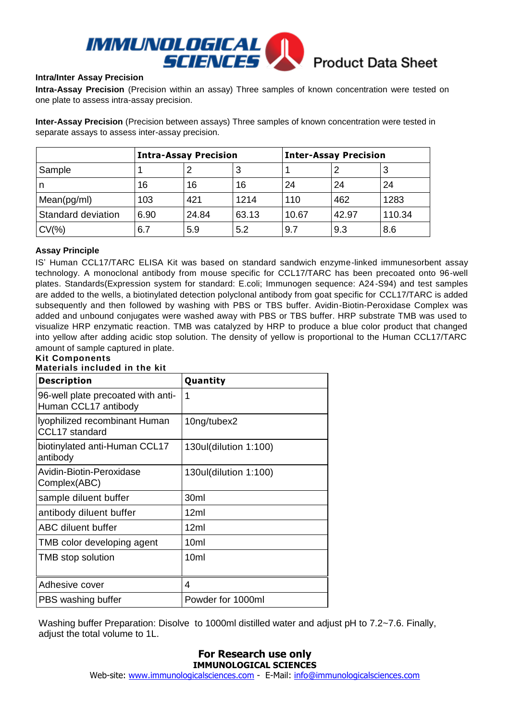

#### **Intra/Inter Assay Precision**

**Intra-Assay Precision** (Precision within an assay) Three samples of known concentration were tested on one plate to assess intra-assay precision.

**Inter-Assay Precision** (Precision between assays) Three samples of known concentration were tested in separate assays to assess inter-assay precision.

|                    | <b>Intra-Assay Precision</b> |       |       | <b>Inter-Assay Precision</b> |       |        |  |
|--------------------|------------------------------|-------|-------|------------------------------|-------|--------|--|
| Sample             |                              |       | 3     |                              |       |        |  |
| n                  | 16                           | 16    | 16    | 24                           | 24    | 24     |  |
| Mean(pg/ml)        | 103                          | 421   | 1214  | 110                          | 462   | 1283   |  |
| Standard deviation | 6.90                         | 24.84 | 63.13 | 10.67                        | 42.97 | 110.34 |  |
| $CV(\% )$          | 6.7                          | 5.9   | 5.2   | 9.7                          | 9.3   | 8.6    |  |

#### **Assay Principle**

IS' Human CCL17/TARC ELISA Kit was based on standard sandwich enzyme-linked immunesorbent assay technology. A monoclonal antibody from mouse specific for CCL17/TARC has been precoated onto 96-well plates. Standards(Expression system for standard: E.coli; Immunogen sequence: A24-S94) and test samples are added to the wells, a biotinylated detection polyclonal antibody from goat specific for CCL17/TARC is added subsequently and then followed by washing with PBS or TBS buffer. Avidin-Biotin-Peroxidase Complex was added and unbound conjugates were washed away with PBS or TBS buffer. HRP substrate TMB was used to visualize HRP enzymatic reaction. TMB was catalyzed by HRP to produce a blue color product that changed into yellow after adding acidic stop solution. The density of yellow is proportional to the Human CCL17/TARC amount of sample captured in plate.

#### **Kit Components Materials included in the kit**

| <b>Description</b>                                         | Quantity              |
|------------------------------------------------------------|-----------------------|
| 96-well plate precoated with anti-<br>Human CCL17 antibody | 1                     |
| Iyophilized recombinant Human<br>CCL17 standard            | 10ng/tubex2           |
| biotinylated anti-Human CCL17<br>antibody                  | 130ul(dilution 1:100) |
| Avidin-Biotin-Peroxidase<br>Complex(ABC)                   | 130ul(dilution 1:100) |
| sample diluent buffer                                      | 30 <sub>ml</sub>      |
| antibody diluent buffer                                    | 12ml                  |
| ABC diluent buffer                                         | 12ml                  |
| TMB color developing agent                                 | 10ml                  |
| TMB stop solution                                          | 10ml                  |
| Adhesive cover                                             | 4                     |
| PBS washing buffer                                         | Powder for 1000ml     |

Washing buffer Preparation: Disolve to 1000ml distilled water and adjust pH to 7.2~7.6. Finally, adjust the total volume to 1L.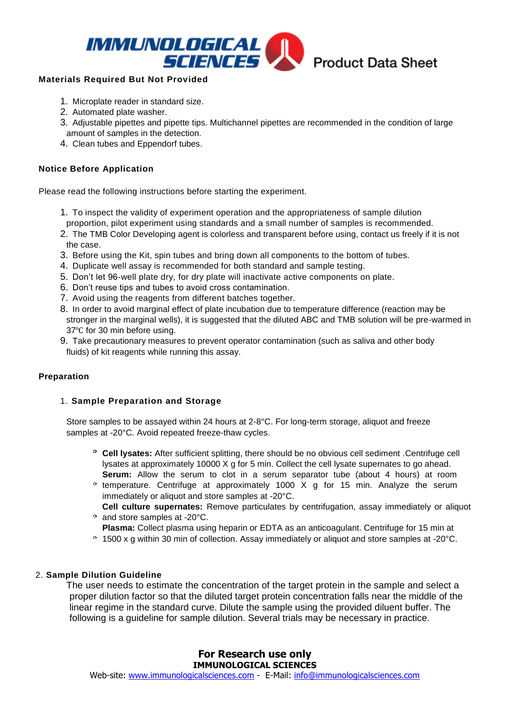

#### **Materials Required But Not Provided**

- 1. Microplate reader in standard size.
- 2. Automated plate washer.
- 3. Adjustable pipettes and pipette tips. Multichannel pipettes are recommended in the condition of large amount of samples in the detection.
- 4. Clean tubes and Eppendorf tubes.

#### **Notice Before Application**

Please read the following instructions before starting the experiment.

- 1. To inspect the validity of experiment operation and the appropriateness of sample dilution proportion, pilot experiment using standards and a small number of samples is recommended.
- 2. The TMB Color Developing agent is colorless and transparent before using, contact us freely if it is not the case.
- 3. Before using the Kit, spin tubes and bring down all components to the bottom of tubes.
- 4. Duplicate well assay is recommended for both standard and sample testing.
- 5. Don't let 96-well plate dry, for dry plate will inactivate active components on plate.
- 6. Don't reuse tips and tubes to avoid cross contamination.
- 7. Avoid using the reagents from different batches together.
- 8. In order to avoid marginal effect of plate incubation due to temperature difference (reaction may be stronger in the marginal wells), it is suggested that the diluted ABC and TMB solution will be pre-warmed in 37°C for 30 min before using.
- 9. Take precautionary measures to prevent operator contamination (such as saliva and other body fluids) of kit reagents while running this assay.

#### **Preparation**

#### 1. **Sample Preparation and Storage**

Store samples to be assayed within 24 hours at 2-8°C. For long-term storage, aliquot and freeze samples at -20°C. Avoid repeated freeze-thaw cycles.

- **Cell lysates:** After sufficient splitting, there should be no obvious cell sediment .Centrifuge cell lysates at approximately 10000 X g for 5 min. Collect the cell lysate supernates to go ahead. **Serum:** Allow the serum to clot in a serum separator tube (about 4 hours) at room
- <sup>o</sup> temperature. Centrifuge at approximately 1000 X g for 15 min. Analyze the serum immediately or aliquot and store samples at -20°C.
- **Cell culture supernates:** Remove particulates by centrifugation, assay immediately or aliquot <sup>o</sup> and store samples at -20°C.
- **Plasma:** Collect plasma using heparin or EDTA as an anticoagulant. Centrifuge for 15 min at
- 1500 x g within 30 min of collection. Assay immediately or aliquot and store samples at -20°C.

#### 2. **Sample Dilution Guideline**

The user needs to estimate the concentration of the target protein in the sample and select a proper dilution factor so that the diluted target protein concentration falls near the middle of the linear regime in the standard curve. Dilute the sample using the provided diluent buffer. The following is a guideline for sample dilution. Several trials may be necessary in practice.

#### **For Research use only IMMUNOLOGICAL SCIENCES**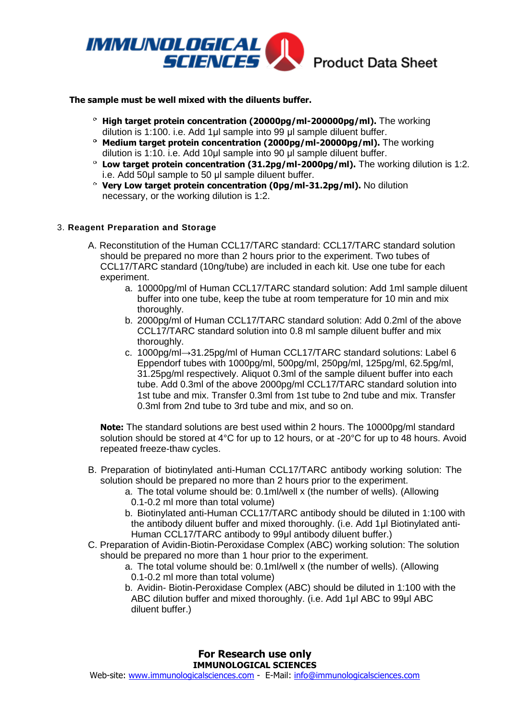

# Product Data Sheet

#### **The sample must be well mixed with the diluents buffer.**

- **High target protein concentration (20000pg/ml-200000pg/ml).** The working dilution is 1:100. i.e. Add 1μl sample into 99 μl sample diluent buffer.
- **Medium target protein concentration (2000pg/ml-20000pg/ml).** The working dilution is 1:10. i.e. Add 10μl sample into 90 μl sample diluent buffer.
- **Low target protein concentration (31.2pg/ml-2000pg/ml).** The working dilution is 1:2. i.e. Add 50μl sample to 50 μl sample diluent buffer.
- **Very Low target protein concentration (0pg/ml-31.2pg/ml).** No dilution necessary, or the working dilution is 1:2.

#### 3. **Reagent Preparation and Storage**

- A. Reconstitution of the Human CCL17/TARC standard: CCL17/TARC standard solution should be prepared no more than 2 hours prior to the experiment. Two tubes of CCL17/TARC standard (10ng/tube) are included in each kit. Use one tube for each experiment.
	- a. 10000pg/ml of Human CCL17/TARC standard solution: Add 1ml sample diluent buffer into one tube, keep the tube at room temperature for 10 min and mix thoroughly.
	- b. 2000pg/ml of Human CCL17/TARC standard solution: Add 0.2ml of the above CCL17/TARC standard solution into 0.8 ml sample diluent buffer and mix thoroughly.
	- c. 1000pg/ml→31.25pg/ml of Human CCL17/TARC standard solutions: Label 6 Eppendorf tubes with 1000pg/ml, 500pg/ml, 250pg/ml, 125pg/ml, 62.5pg/ml, 31.25pg/ml respectively. Aliquot 0.3ml of the sample diluent buffer into each tube. Add 0.3ml of the above 2000pg/ml CCL17/TARC standard solution into 1st tube and mix. Transfer 0.3ml from 1st tube to 2nd tube and mix. Transfer 0.3ml from 2nd tube to 3rd tube and mix, and so on.

**Note:** The standard solutions are best used within 2 hours. The 10000pg/ml standard solution should be stored at 4°C for up to 12 hours, or at -20°C for up to 48 hours. Avoid repeated freeze-thaw cycles.

- B. Preparation of biotinylated anti-Human CCL17/TARC antibody working solution: The solution should be prepared no more than 2 hours prior to the experiment.
	- a. The total volume should be: 0.1ml/well x (the number of wells). (Allowing 0.1-0.2 ml more than total volume)
	- b. Biotinylated anti-Human CCL17/TARC antibody should be diluted in 1:100 with the antibody diluent buffer and mixed thoroughly. (i.e. Add 1μl Biotinylated anti-Human CCL17/TARC antibody to 99μl antibody diluent buffer.)
- C. Preparation of Avidin-Biotin-Peroxidase Complex (ABC) working solution: The solution should be prepared no more than 1 hour prior to the experiment.
	- a. The total volume should be: 0.1ml/well x (the number of wells). (Allowing 0.1-0.2 ml more than total volume)
	- b. Avidin- Biotin-Peroxidase Complex (ABC) should be diluted in 1:100 with the ABC dilution buffer and mixed thoroughly. (i.e. Add 1μl ABC to 99μl ABC diluent buffer.)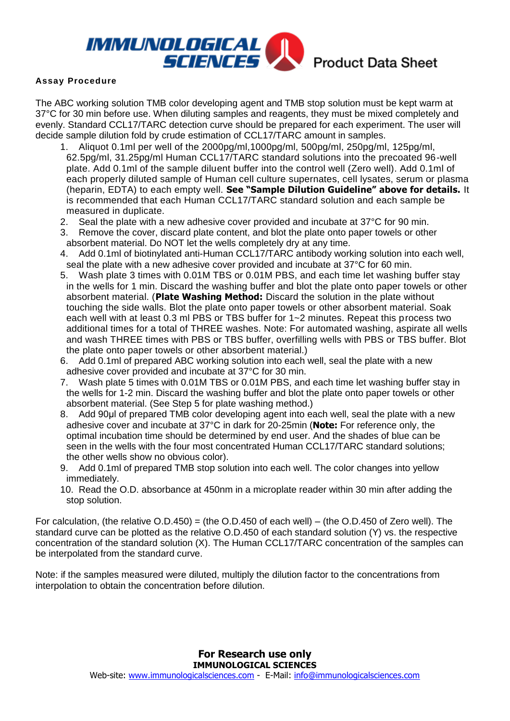

#### **Assay Procedure**

The ABC working solution TMB color developing agent and TMB stop solution must be kept warm at 37°C for 30 min before use. When diluting samples and reagents, they must be mixed completely and evenly. Standard CCL17/TARC detection curve should be prepared for each experiment. The user will decide sample dilution fold by crude estimation of CCL17/TARC amount in samples.

- 1. Aliquot 0.1ml per well of the 2000pg/ml,1000pg/ml, 500pg/ml, 250pg/ml, 125pg/ml, 62.5pg/ml, 31.25pg/ml Human CCL17/TARC standard solutions into the precoated 96-well plate. Add 0.1ml of the sample diluent buffer into the control well (Zero well). Add 0.1ml of each properly diluted sample of Human cell culture supernates, cell lysates, serum or plasma (heparin, EDTA) to each empty well. **See "Sample Dilution Guideline" above for details.** It is recommended that each Human CCL17/TARC standard solution and each sample be measured in duplicate.
- 2. Seal the plate with a new adhesive cover provided and incubate at 37°C for 90 min.
- 3. Remove the cover, discard plate content, and blot the plate onto paper towels or other absorbent material. Do NOT let the wells completely dry at any time.
- 4. Add 0.1ml of biotinylated anti-Human CCL17/TARC antibody working solution into each well, seal the plate with a new adhesive cover provided and incubate at 37°C for 60 min.
- 5. Wash plate 3 times with 0.01M TBS or 0.01M PBS, and each time let washing buffer stay in the wells for 1 min. Discard the washing buffer and blot the plate onto paper towels or other absorbent material. (**Plate Washing Method:** Discard the solution in the plate without touching the side walls. Blot the plate onto paper towels or other absorbent material. Soak each well with at least 0.3 ml PBS or TBS buffer for 1~2 minutes. Repeat this process two additional times for a total of THREE washes. Note: For automated washing, aspirate all wells and wash THREE times with PBS or TBS buffer, overfilling wells with PBS or TBS buffer. Blot the plate onto paper towels or other absorbent material.)
- 6. Add 0.1ml of prepared ABC working solution into each well, seal the plate with a new adhesive cover provided and incubate at 37°C for 30 min.
- 7. Wash plate 5 times with 0.01M TBS or 0.01M PBS, and each time let washing buffer stay in the wells for 1-2 min. Discard the washing buffer and blot the plate onto paper towels or other absorbent material. (See Step 5 for plate washing method.)
- 8. Add 90µl of prepared TMB color developing agent into each well, seal the plate with a new adhesive cover and incubate at 37°C in dark for 20-25min (**Note:** For reference only, the optimal incubation time should be determined by end user. And the shades of blue can be seen in the wells with the four most concentrated Human CCL17/TARC standard solutions; the other wells show no obvious color).
- 9. Add 0.1ml of prepared TMB stop solution into each well. The color changes into yellow immediately.
- 10. Read the O.D. absorbance at 450nm in a microplate reader within 30 min after adding the stop solution.

For calculation, (the relative O.D.450) = (the O.D.450 of each well) – (the O.D.450 of Zero well). The standard curve can be plotted as the relative O.D.450 of each standard solution (Y) vs. the respective concentration of the standard solution (X). The Human CCL17/TARC concentration of the samples can be interpolated from the standard curve.

Note: if the samples measured were diluted, multiply the dilution factor to the concentrations from interpolation to obtain the concentration before dilution.